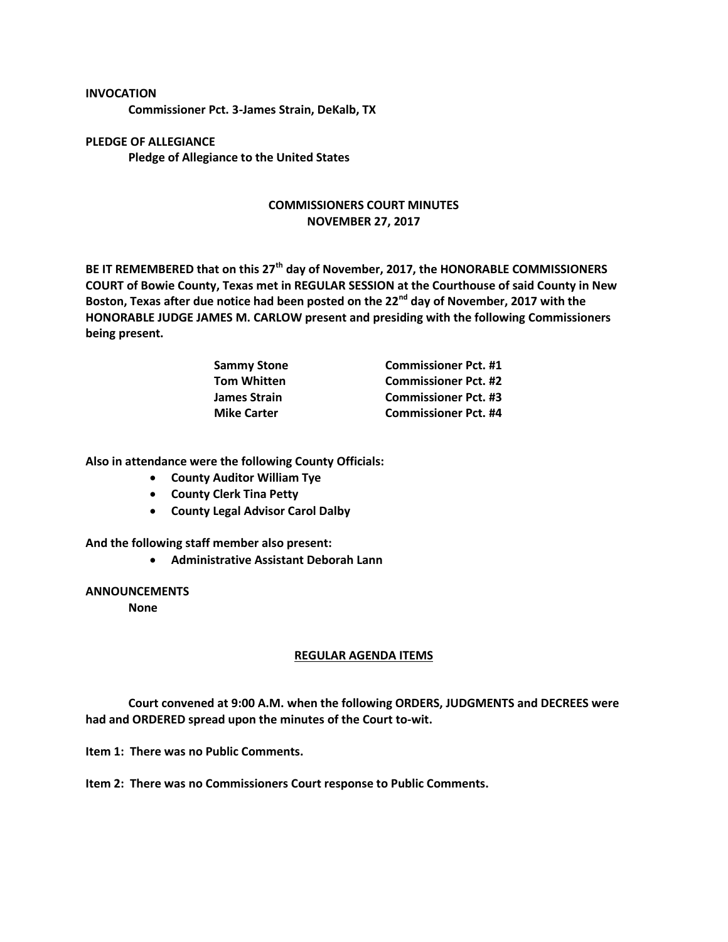## **INVOCATION**

**Commissioner Pct. 3-James Strain, DeKalb, TX**

**PLEDGE OF ALLEGIANCE Pledge of Allegiance to the United States**

## **COMMISSIONERS COURT MINUTES NOVEMBER 27, 2017**

**BE IT REMEMBERED that on this 27th day of November, 2017, the HONORABLE COMMISSIONERS COURT of Bowie County, Texas met in REGULAR SESSION at the Courthouse of said County in New Boston, Texas after due notice had been posted on the 22nd day of November, 2017 with the HONORABLE JUDGE JAMES M. CARLOW present and presiding with the following Commissioners being present.**

| <b>Sammy Stone</b>  | <b>Commissioner Pct. #1</b> |
|---------------------|-----------------------------|
| <b>Tom Whitten</b>  | <b>Commissioner Pct. #2</b> |
| <b>James Strain</b> | <b>Commissioner Pct. #3</b> |
| <b>Mike Carter</b>  | <b>Commissioner Pct. #4</b> |

**Also in attendance were the following County Officials:**

- **County Auditor William Tye**
- **County Clerk Tina Petty**
- **County Legal Advisor Carol Dalby**

**And the following staff member also present:**

**Administrative Assistant Deborah Lann**

## **ANNOUNCEMENTS**

**None**

## **REGULAR AGENDA ITEMS**

**Court convened at 9:00 A.M. when the following ORDERS, JUDGMENTS and DECREES were had and ORDERED spread upon the minutes of the Court to-wit.**

**Item 1: There was no Public Comments.**

**Item 2: There was no Commissioners Court response to Public Comments.**